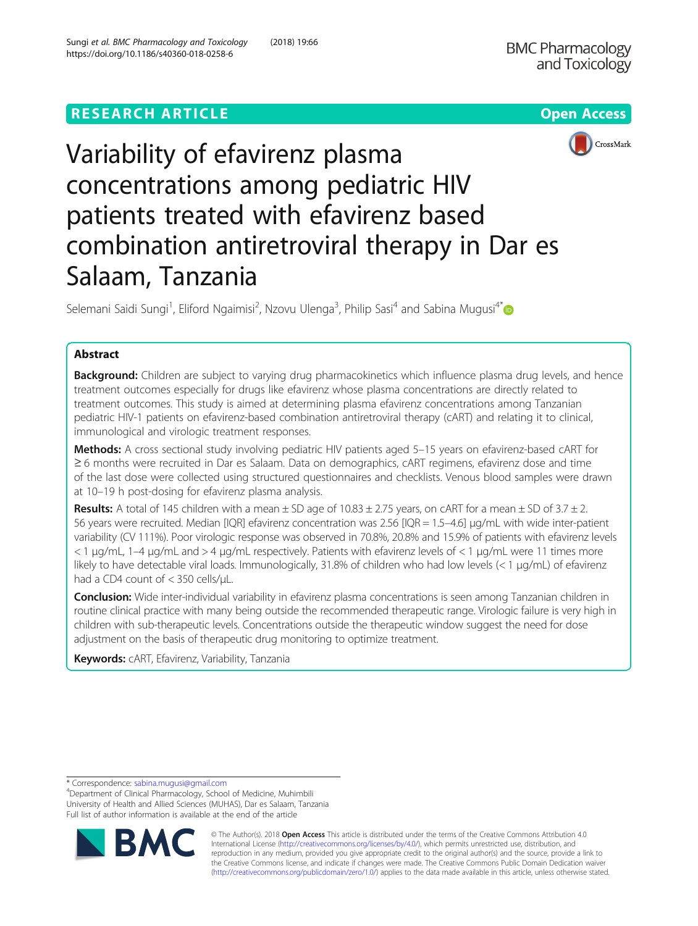## **RESEARCH ARTICLE Example 2014 12:30 The Open Access**





# Variability of efavirenz plasma concentrations among pediatric HIV patients treated with efavirenz based combination antiretroviral therapy in Dar es Salaam, Tanzania

Selemani Saidi Sungi<sup>1</sup>, Eliford Ngaimisi<sup>2</sup>, Nzovu Ulenga<sup>3</sup>, Philip Sasi<sup>4</sup> and Sabina Mugusi<sup>4\*</sup>

## Abstract

Background: Children are subject to varying drug pharmacokinetics which influence plasma drug levels, and hence treatment outcomes especially for drugs like efavirenz whose plasma concentrations are directly related to treatment outcomes. This study is aimed at determining plasma efavirenz concentrations among Tanzanian pediatric HIV-1 patients on efavirenz-based combination antiretroviral therapy (cART) and relating it to clinical, immunological and virologic treatment responses.

Methods: A cross sectional study involving pediatric HIV patients aged 5-15 years on efavirenz-based cART for ≥ 6 months were recruited in Dar es Salaam. Data on demographics, cART regimens, efavirenz dose and time of the last dose were collected using structured questionnaires and checklists. Venous blood samples were drawn at 10–19 h post-dosing for efavirenz plasma analysis.

**Results:** A total of 145 children with a mean  $\pm$  SD age of 10.83  $\pm$  2.75 years, on cART for a mean  $\pm$  SD of 3.7  $\pm$  2. 56 years were recruited. Median [IQR] efavirenz concentration was 2.56 [IQR = 1.5–4.6] μg/mL with wide inter-patient variability (CV 111%). Poor virologic response was observed in 70.8%, 20.8% and 15.9% of patients with efavirenz levels < 1 μg/mL, 1–4 μg/mL and > 4 μg/mL respectively. Patients with efavirenz levels of < 1 μg/mL were 11 times more likely to have detectable viral loads. Immunologically, 31.8% of children who had low levels (< 1 μg/mL) of efavirenz had a CD4 count of < 350 cells/μL.

Conclusion: Wide inter-individual variability in efavirenz plasma concentrations is seen among Tanzanian children in routine clinical practice with many being outside the recommended therapeutic range. Virologic failure is very high in children with sub-therapeutic levels. Concentrations outside the therapeutic window suggest the need for dose adjustment on the basis of therapeutic drug monitoring to optimize treatment.

Keywords: CART, Efavirenz, Variability, Tanzania

\* Correspondence: [sabina.mugusi@gmail.com](mailto:sabina.mugusi@gmail.com) <sup>4</sup>

Department of Clinical Pharmacology, School of Medicine, Muhimbili University of Health and Allied Sciences (MUHAS), Dar es Salaam, Tanzania Full list of author information is available at the end of the article



© The Author(s). 2018 Open Access This article is distributed under the terms of the Creative Commons Attribution 4.0 International License [\(http://creativecommons.org/licenses/by/4.0/](http://creativecommons.org/licenses/by/4.0/)), which permits unrestricted use, distribution, and reproduction in any medium, provided you give appropriate credit to the original author(s) and the source, provide a link to the Creative Commons license, and indicate if changes were made. The Creative Commons Public Domain Dedication waiver [\(http://creativecommons.org/publicdomain/zero/1.0/](http://creativecommons.org/publicdomain/zero/1.0/)) applies to the data made available in this article, unless otherwise stated.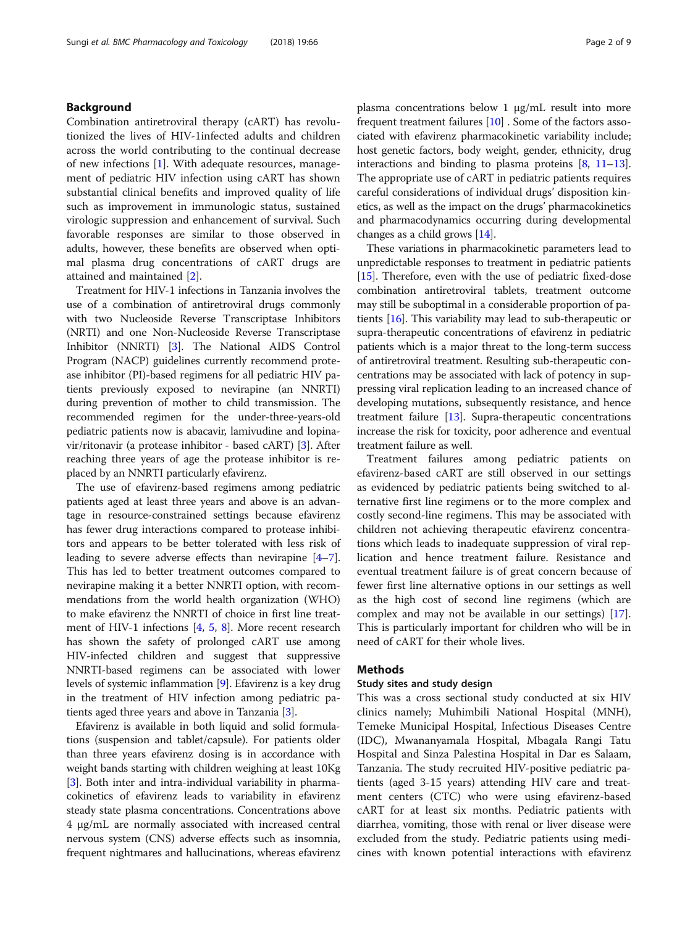## Background

Combination antiretroviral therapy (cART) has revolutionized the lives of HIV-1infected adults and children across the world contributing to the continual decrease of new infections [[1\]](#page-7-0). With adequate resources, management of pediatric HIV infection using cART has shown substantial clinical benefits and improved quality of life such as improvement in immunologic status, sustained virologic suppression and enhancement of survival. Such favorable responses are similar to those observed in adults, however, these benefits are observed when optimal plasma drug concentrations of cART drugs are attained and maintained [\[2](#page-7-0)].

Treatment for HIV-1 infections in Tanzania involves the use of a combination of antiretroviral drugs commonly with two Nucleoside Reverse Transcriptase Inhibitors (NRTI) and one Non-Nucleoside Reverse Transcriptase Inhibitor (NNRTI) [[3](#page-7-0)]. The National AIDS Control Program (NACP) guidelines currently recommend protease inhibitor (PI)-based regimens for all pediatric HIV patients previously exposed to nevirapine (an NNRTI) during prevention of mother to child transmission. The recommended regimen for the under-three-years-old pediatric patients now is abacavir, lamivudine and lopinavir/ritonavir (a protease inhibitor - based cART) [[3\]](#page-7-0). After reaching three years of age the protease inhibitor is replaced by an NNRTI particularly efavirenz.

The use of efavirenz-based regimens among pediatric patients aged at least three years and above is an advantage in resource-constrained settings because efavirenz has fewer drug interactions compared to protease inhibitors and appears to be better tolerated with less risk of leading to severe adverse effects than nevirapine [[4](#page-7-0)–[7](#page-7-0)]. This has led to better treatment outcomes compared to nevirapine making it a better NNRTI option, with recommendations from the world health organization (WHO) to make efavirenz the NNRTI of choice in first line treatment of HIV-1 infections [[4](#page-7-0), [5](#page-7-0), [8\]](#page-8-0). More recent research has shown the safety of prolonged cART use among HIV-infected children and suggest that suppressive NNRTI-based regimens can be associated with lower levels of systemic inflammation [[9\]](#page-8-0). Efavirenz is a key drug in the treatment of HIV infection among pediatric patients aged three years and above in Tanzania [[3](#page-7-0)].

Efavirenz is available in both liquid and solid formulations (suspension and tablet/capsule). For patients older than three years efavirenz dosing is in accordance with weight bands starting with children weighing at least 10Kg [[3\]](#page-7-0). Both inter and intra-individual variability in pharmacokinetics of efavirenz leads to variability in efavirenz steady state plasma concentrations. Concentrations above 4 μg/mL are normally associated with increased central nervous system (CNS) adverse effects such as insomnia, frequent nightmares and hallucinations, whereas efavirenz plasma concentrations below 1 μg/mL result into more frequent treatment failures [[10](#page-8-0)] . Some of the factors associated with efavirenz pharmacokinetic variability include; host genetic factors, body weight, gender, ethnicity, drug interactions and binding to plasma proteins [[8,](#page-8-0) [11](#page-8-0)–[13](#page-8-0)]. The appropriate use of cART in pediatric patients requires careful considerations of individual drugs' disposition kinetics, as well as the impact on the drugs' pharmacokinetics and pharmacodynamics occurring during developmental changes as a child grows [[14](#page-8-0)].

These variations in pharmacokinetic parameters lead to unpredictable responses to treatment in pediatric patients [[15](#page-8-0)]. Therefore, even with the use of pediatric fixed-dose combination antiretroviral tablets, treatment outcome may still be suboptimal in a considerable proportion of patients [\[16\]](#page-8-0). This variability may lead to sub-therapeutic or supra-therapeutic concentrations of efavirenz in pediatric patients which is a major threat to the long-term success of antiretroviral treatment. Resulting sub-therapeutic concentrations may be associated with lack of potency in suppressing viral replication leading to an increased chance of developing mutations, subsequently resistance, and hence treatment failure [[13](#page-8-0)]. Supra-therapeutic concentrations increase the risk for toxicity, poor adherence and eventual treatment failure as well.

Treatment failures among pediatric patients on efavirenz-based cART are still observed in our settings as evidenced by pediatric patients being switched to alternative first line regimens or to the more complex and costly second-line regimens. This may be associated with children not achieving therapeutic efavirenz concentrations which leads to inadequate suppression of viral replication and hence treatment failure. Resistance and eventual treatment failure is of great concern because of fewer first line alternative options in our settings as well as the high cost of second line regimens (which are complex and may not be available in our settings) [\[17](#page-8-0)]. This is particularly important for children who will be in need of cART for their whole lives.

## Methods

## Study sites and study design

This was a cross sectional study conducted at six HIV clinics namely; Muhimbili National Hospital (MNH), Temeke Municipal Hospital, Infectious Diseases Centre (IDC), Mwananyamala Hospital, Mbagala Rangi Tatu Hospital and Sinza Palestina Hospital in Dar es Salaam, Tanzania. The study recruited HIV-positive pediatric patients (aged 3-15 years) attending HIV care and treatment centers (CTC) who were using efavirenz-based cART for at least six months. Pediatric patients with diarrhea, vomiting, those with renal or liver disease were excluded from the study. Pediatric patients using medicines with known potential interactions with efavirenz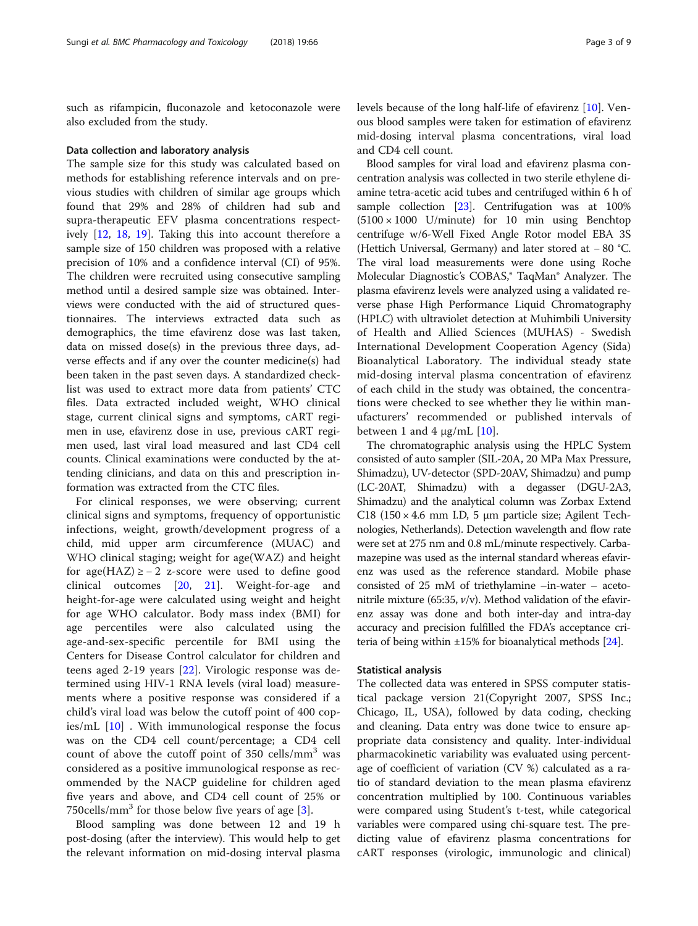such as rifampicin, fluconazole and ketoconazole were also excluded from the study.

#### Data collection and laboratory analysis

The sample size for this study was calculated based on methods for establishing reference intervals and on previous studies with children of similar age groups which found that 29% and 28% of children had sub and supra-therapeutic EFV plasma concentrations respectively [[12,](#page-8-0) [18](#page-8-0), [19\]](#page-8-0). Taking this into account therefore a sample size of 150 children was proposed with a relative precision of 10% and a confidence interval (CI) of 95%. The children were recruited using consecutive sampling method until a desired sample size was obtained. Interviews were conducted with the aid of structured questionnaires. The interviews extracted data such as demographics, the time efavirenz dose was last taken, data on missed dose(s) in the previous three days, adverse effects and if any over the counter medicine(s) had been taken in the past seven days. A standardized checklist was used to extract more data from patients' CTC files. Data extracted included weight, WHO clinical stage, current clinical signs and symptoms, cART regimen in use, efavirenz dose in use, previous cART regimen used, last viral load measured and last CD4 cell counts. Clinical examinations were conducted by the attending clinicians, and data on this and prescription information was extracted from the CTC files.

For clinical responses, we were observing; current clinical signs and symptoms, frequency of opportunistic infections, weight, growth/development progress of a child, mid upper arm circumference (MUAC) and WHO clinical staging; weight for age(WAZ) and height for age(HAZ)  $\ge -2$  z-score were used to define good clinical outcomes [[20,](#page-8-0) [21\]](#page-8-0). Weight-for-age and height-for-age were calculated using weight and height for age WHO calculator. Body mass index (BMI) for age percentiles were also calculated using the age-and-sex-specific percentile for BMI using the Centers for Disease Control calculator for children and teens aged 2-19 years [[22\]](#page-8-0). Virologic response was determined using HIV-1 RNA levels (viral load) measurements where a positive response was considered if a child's viral load was below the cutoff point of 400 copies/mL [[10](#page-8-0)] . With immunological response the focus was on the CD4 cell count/percentage; a CD4 cell count of above the cutoff point of 350 cells/mm<sup>3</sup> was considered as a positive immunological response as recommended by the NACP guideline for children aged five years and above, and CD4 cell count of 25% or  $750$ cells/mm<sup>3</sup> for those below five years of age [[3\]](#page-7-0).

Blood sampling was done between 12 and 19 h post-dosing (after the interview). This would help to get the relevant information on mid-dosing interval plasma

levels because of the long half-life of efavirenz [\[10](#page-8-0)]. Venous blood samples were taken for estimation of efavirenz mid-dosing interval plasma concentrations, viral load and CD4 cell count.

Blood samples for viral load and efavirenz plasma concentration analysis was collected in two sterile ethylene diamine tetra-acetic acid tubes and centrifuged within 6 h of sample collection [[23](#page-8-0)]. Centrifugation was at 100%  $(5100 \times 1000$  U/minute) for 10 min using Benchtop centrifuge w/6-Well Fixed Angle Rotor model EBA 3S (Hettich Universal, Germany) and later stored at − 80 °C. The viral load measurements were done using Roche Molecular Diagnostic's COBAS,® TaqMan® Analyzer. The plasma efavirenz levels were analyzed using a validated reverse phase High Performance Liquid Chromatography (HPLC) with ultraviolet detection at Muhimbili University of Health and Allied Sciences (MUHAS) - Swedish International Development Cooperation Agency (Sida) Bioanalytical Laboratory. The individual steady state mid-dosing interval plasma concentration of efavirenz of each child in the study was obtained, the concentrations were checked to see whether they lie within manufacturers' recommended or published intervals of between 1 and 4  $\mu$ g/mL [[10](#page-8-0)].

The chromatographic analysis using the HPLC System consisted of auto sampler (SIL-20A, 20 MPa Max Pressure, Shimadzu), UV-detector (SPD-20AV, Shimadzu) and pump (LC-20AT, Shimadzu) with a degasser (DGU-2A3, Shimadzu) and the analytical column was Zorbax Extend C18 (150  $\times$  4.6 mm I.D, 5 µm particle size; Agilent Technologies, Netherlands). Detection wavelength and flow rate were set at 275 nm and 0.8 mL/minute respectively. Carbamazepine was used as the internal standard whereas efavirenz was used as the reference standard. Mobile phase consisted of 25 mM of triethylamine –in-water – acetonitrile mixture (65:35,  $v/v$ ). Method validation of the efavirenz assay was done and both inter-day and intra-day accuracy and precision fulfilled the FDA's acceptance criteria of being within  $\pm 15\%$  for bioanalytical methods [\[24\]](#page-8-0).

#### Statistical analysis

The collected data was entered in SPSS computer statistical package version 21(Copyright 2007, SPSS Inc.; Chicago, IL, USA), followed by data coding, checking and cleaning. Data entry was done twice to ensure appropriate data consistency and quality. Inter-individual pharmacokinetic variability was evaluated using percentage of coefficient of variation (CV %) calculated as a ratio of standard deviation to the mean plasma efavirenz concentration multiplied by 100. Continuous variables were compared using Student's t-test, while categorical variables were compared using chi-square test. The predicting value of efavirenz plasma concentrations for cART responses (virologic, immunologic and clinical)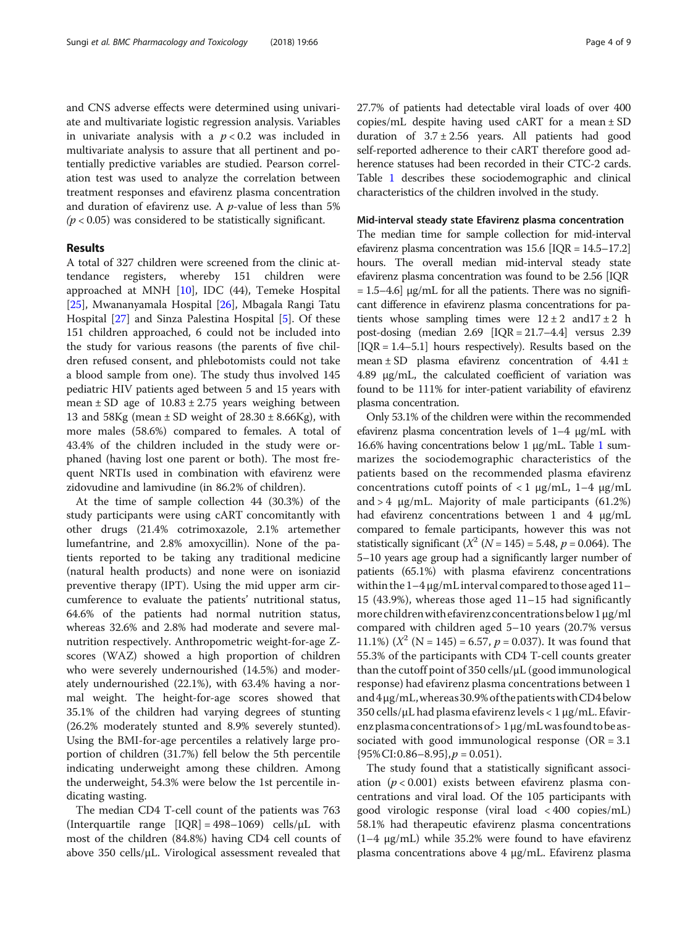and CNS adverse effects were determined using univariate and multivariate logistic regression analysis. Variables in univariate analysis with a  $p < 0.2$  was included in multivariate analysis to assure that all pertinent and potentially predictive variables are studied. Pearson correlation test was used to analyze the correlation between treatment responses and efavirenz plasma concentration and duration of efavirenz use. A  $p$ -value of less than 5%  $(p < 0.05)$  was considered to be statistically significant.

## **Results**

A total of 327 children were screened from the clinic attendance registers, whereby 151 children were approached at MNH [[10](#page-8-0)], IDC (44), Temeke Hospital [[25\]](#page-8-0), Mwananyamala Hospital [[26\]](#page-8-0), Mbagala Rangi Tatu Hospital [\[27\]](#page-8-0) and Sinza Palestina Hospital [[5\]](#page-7-0). Of these 151 children approached, 6 could not be included into the study for various reasons (the parents of five children refused consent, and phlebotomists could not take a blood sample from one). The study thus involved 145 pediatric HIV patients aged between 5 and 15 years with mean  $\pm$  SD age of 10.83  $\pm$  2.75 years weighing between 13 and  $58Kg$  (mean  $\pm$  SD weight of  $28.30 \pm 8.66Kg$ ), with more males (58.6%) compared to females. A total of 43.4% of the children included in the study were orphaned (having lost one parent or both). The most frequent NRTIs used in combination with efavirenz were zidovudine and lamivudine (in 86.2% of children).

At the time of sample collection 44 (30.3%) of the study participants were using cART concomitantly with other drugs (21.4% cotrimoxazole, 2.1% artemether lumefantrine, and 2.8% amoxycillin). None of the patients reported to be taking any traditional medicine (natural health products) and none were on isoniazid preventive therapy (IPT). Using the mid upper arm circumference to evaluate the patients' nutritional status, 64.6% of the patients had normal nutrition status, whereas 32.6% and 2.8% had moderate and severe malnutrition respectively. Anthropometric weight-for-age Zscores (WAZ) showed a high proportion of children who were severely undernourished (14.5%) and moderately undernourished (22.1%), with 63.4% having a normal weight. The height-for-age scores showed that 35.1% of the children had varying degrees of stunting (26.2% moderately stunted and 8.9% severely stunted). Using the BMI-for-age percentiles a relatively large proportion of children (31.7%) fell below the 5th percentile indicating underweight among these children. Among the underweight, 54.3% were below the 1st percentile indicating wasting.

The median CD4 T-cell count of the patients was 763 (Interquartile range  $[IQR] = 498-1069$ ) cells/ $\mu$ L with most of the children (84.8%) having CD4 cell counts of above 350 cells/μL. Virological assessment revealed that 27.7% of patients had detectable viral loads of over 400 copies/mL despite having used  $cART$  for a mean  $\pm SD$ duration of  $3.7 \pm 2.56$  years. All patients had good self-reported adherence to their cART therefore good adherence statuses had been recorded in their CTC-2 cards. Table [1](#page-4-0) describes these sociodemographic and clinical characteristics of the children involved in the study.

#### Mid-interval steady state Efavirenz plasma concentration

The median time for sample collection for mid-interval efavirenz plasma concentration was 15.6 [IQR = 14.5–17.2] hours. The overall median mid-interval steady state efavirenz plasma concentration was found to be 2.56 [IQR  $= 1.5-4.6$ ]  $\mu$ g/mL for all the patients. There was no significant difference in efavirenz plasma concentrations for patients whose sampling times were  $12 \pm 2$  and  $17 \pm 2$  h post-dosing (median  $2.69$  [IQR =  $21.7-4.4$ ] versus  $2.39$  $[IQR = 1.4-5.1]$  hours respectively). Results based on the mean  $\pm$  SD plasma efavirenz concentration of 4.41  $\pm$ 4.89 μg/mL, the calculated coefficient of variation was found to be 111% for inter-patient variability of efavirenz plasma concentration.

Only 53.1% of the children were within the recommended efavirenz plasma concentration levels of 1–4 μg/mL with 16.6% having concentrations below 1 μg/mL. Table [1](#page-4-0) summarizes the sociodemographic characteristics of the patients based on the recommended plasma efavirenz concentrations cutoff points of  $< 1$  μg/mL, 1–4 μg/mL and  $> 4 \mu$ g/mL. Majority of male participants (61.2%) had efavirenz concentrations between 1 and 4 μg/mL compared to female participants, however this was not statistically significant  $(X^2 (N = 145) = 5.48, p = 0.064)$ . The 5–10 years age group had a significantly larger number of patients (65.1%) with plasma efavirenz concentrations within the  $1-4 \mu$ g/mL interval compared to those aged  $11-$ 15 (43.9%), whereas those aged 11–15 had significantly more children with efavirenz concentrations below  $1 \mu g/ml$ compared with children aged 5–10 years (20.7% versus 11.1%)  $(X^2 (N = 145) = 6.57, p = 0.037)$ . It was found that 55.3% of the participants with CD4 T-cell counts greater than the cutoff point of 350 cells/μL (good immunological response) had efavirenz plasma concentrations between 1 and 4μg/mL,whereas 30.9% of the patientswithCD4 below 350 cells/μL had plasma efavirenz levels < 1 μg/mL. Efavirenz plasma concentrations of  $> 1 \mu g/mL$  was found to be associated with good immunological response ( $OR = 3.1$ )  ${95\%}$ CI:0.86–8.95},  $p = 0.051$ ).

The study found that a statistically significant association ( $p < 0.001$ ) exists between efavirenz plasma concentrations and viral load. Of the 105 participants with good virologic response (viral load < 400 copies/mL) 58.1% had therapeutic efavirenz plasma concentrations (1–4 μg/mL) while 35.2% were found to have efavirenz plasma concentrations above 4 μg/mL. Efavirenz plasma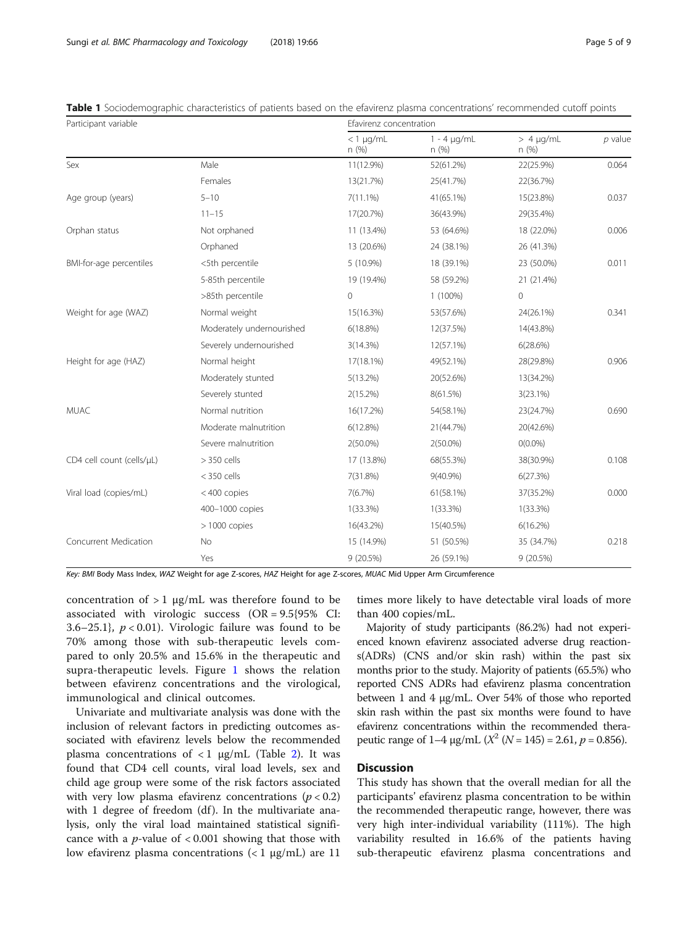<span id="page-4-0"></span>

|  |  | Table 1 Sociodemographic characteristics of patients based on the efavirenz plasma concentrations' recommended cutoff points |  |
|--|--|------------------------------------------------------------------------------------------------------------------------------|--|
|  |  |                                                                                                                              |  |

| Participant variable      |                           | Efavirenz concentration  |                          |                        |           |  |
|---------------------------|---------------------------|--------------------------|--------------------------|------------------------|-----------|--|
|                           |                           | $<$ 1 $\mu$ g/mL<br>n(%) | $1 - 4 \mu q/mL$<br>n(%) | $> 4 \mu g/mL$<br>n(%) | $p$ value |  |
| Sex                       | Male                      | 11(12.9%)                | 52(61.2%)                | 22(25.9%)              | 0.064     |  |
|                           | Females                   | 13(21.7%)                | 25(41.7%)                | 22(36.7%)              |           |  |
| Age group (years)         | $5 - 10$                  | $7(11.1\%)$              | 41(65.1%)                | 15(23.8%)              | 0.037     |  |
|                           | $11 - 15$                 | 17(20.7%)                | 36(43.9%)                | 29(35.4%)              |           |  |
| Orphan status             | Not orphaned              | 11 (13.4%)               | 53 (64.6%)               | 18 (22.0%)             | 0.006     |  |
|                           | Orphaned                  | 13 (20.6%)               | 24 (38.1%)               | 26 (41.3%)             |           |  |
| BMI-for-age percentiles   | <5th percentile           | 5 (10.9%)                | 18 (39.1%)               | 23 (50.0%)             | 0.011     |  |
|                           | 5-85th percentile         | 19 (19.4%)               | 58 (59.2%)               | 21 (21.4%)             |           |  |
|                           | >85th percentile          | $\mathbf 0$              | $1(100\%)$               | $\mathsf{O}\xspace$    |           |  |
| Weight for age (WAZ)      | Normal weight             | 15(16.3%)                | 53(57.6%)                | 24(26.1%)              | 0.341     |  |
|                           | Moderately undernourished | 6(18.8%)                 | 12(37.5%)                | 14(43.8%)              |           |  |
|                           | Severely undernourished   | 3(14.3%)                 | 12(57.1%)                | 6(28.6%)               |           |  |
| Height for age (HAZ)      | Normal height             | 17(18.1%)                | 49(52.1%)                | 28(29.8%)              | 0.906     |  |
|                           | Moderately stunted        | $5(13.2\%)$              | 20(52.6%)                | 13(34.2%)              |           |  |
|                           | Severely stunted          | 2(15.2%)                 | 8(61.5%)                 | 3(23.1%)               |           |  |
| <b>MUAC</b>               | Normal nutrition          | 16(17.2%)                | 54(58.1%)                | 23(24.7%)              | 0.690     |  |
|                           | Moderate malnutrition     | 6(12.8%)                 | 21(44.7%)                | 20(42.6%)              |           |  |
|                           | Severe malnutrition       | $2(50.0\%)$              | 2(50.0%)                 | $O(0.0\%)$             |           |  |
| CD4 cell count (cells/µL) | $> 350$ cells             | 17 (13.8%)               | 68(55.3%)                | 38(30.9%)              | 0.108     |  |
|                           | $<$ 350 cells             | 7(31.8%)                 | 9(40.9%)                 | 6(27.3%)               |           |  |
| Viral load (copies/mL)    | <400 copies               | 7(6.7%)                  | 61(58.1%)                | 37(35.2%)              | 0.000     |  |
|                           | 400-1000 copies           | $1(33.3\%)$              | $1(33.3\%)$              | 1(33.3%)               |           |  |
|                           | $> 1000$ copies           | 16(43.2%)                | 15(40.5%)                | 6(16.2%)               |           |  |
| Concurrent Medication     | No                        | 15 (14.9%)               | 51 (50.5%)               | 35 (34.7%)             | 0.218     |  |
|                           | Yes                       | 9 (20.5%)                | 26 (59.1%)               | 9(20.5%)               |           |  |

Key: BMI Body Mass Index, WAZ Weight for age Z-scores, HAZ Height for age Z-scores, MUAC Mid Upper Arm Circumference

concentration of  $> 1$  µg/mL was therefore found to be associated with virologic success (OR = 9.5{95% CI: 3.6–25.1},  $p < 0.01$ ). Virologic failure was found to be 70% among those with sub-therapeutic levels compared to only 20.5% and 15.6% in the therapeutic and supra-therapeutic levels. Figure [1](#page-6-0) shows the relation between efavirenz concentrations and the virological, immunological and clinical outcomes.

Univariate and multivariate analysis was done with the inclusion of relevant factors in predicting outcomes associated with efavirenz levels below the recommended plasma concentrations of  $\langle 1 \ \mu g/mL \ \text{(Table 2). It was}$  $\langle 1 \ \mu g/mL \ \text{(Table 2). It was}$  $\langle 1 \ \mu g/mL \ \text{(Table 2). It was}$ found that CD4 cell counts, viral load levels, sex and child age group were some of the risk factors associated with very low plasma efavirenz concentrations  $(p < 0.2)$ with 1 degree of freedom  $(df)$ . In the multivariate analysis, only the viral load maintained statistical significance with a *p*-value of  $< 0.001$  showing that those with low efavirenz plasma concentrations ( $<$  1 μg/mL) are 11

times more likely to have detectable viral loads of more than 400 copies/mL.

Majority of study participants (86.2%) had not experienced known efavirenz associated adverse drug reactions(ADRs) (CNS and/or skin rash) within the past six months prior to the study. Majority of patients (65.5%) who reported CNS ADRs had efavirenz plasma concentration between 1 and 4 μg/mL. Over 54% of those who reported skin rash within the past six months were found to have efavirenz concentrations within the recommended therapeutic range of 1–4  $\mu$ g/mL ( $X^2$  (N = 145) = 2.61, p = 0.856).

## **Discussion**

This study has shown that the overall median for all the participants' efavirenz plasma concentration to be within the recommended therapeutic range, however, there was very high inter-individual variability (111%). The high variability resulted in 16.6% of the patients having sub-therapeutic efavirenz plasma concentrations and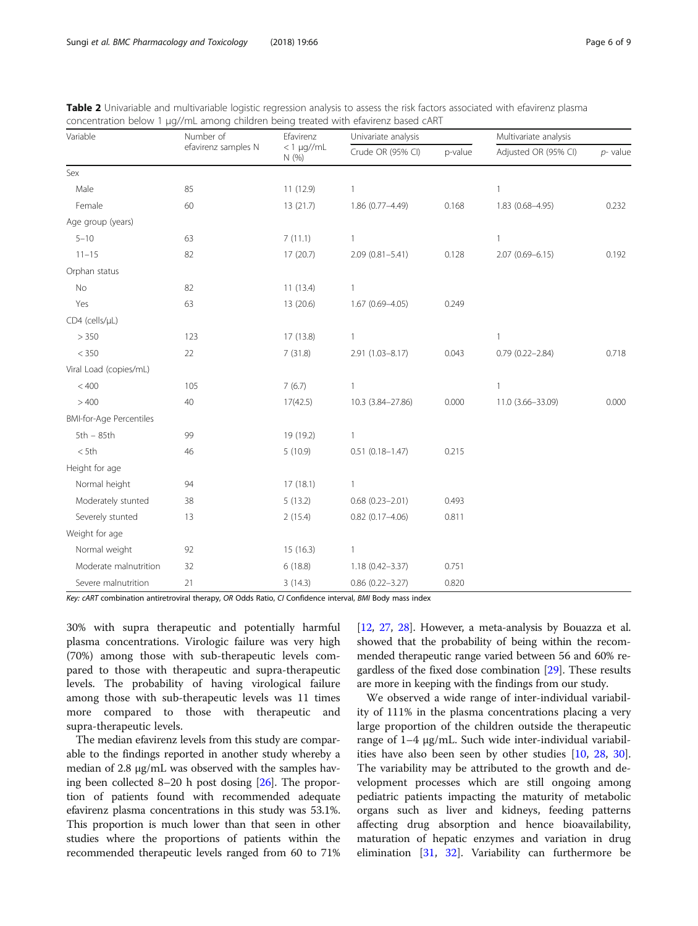| Variable                       | Number of<br>efavirenz samples N | Efavirenz<br>$< 1$ µg//mL<br>N (%) | Univariate analysis    |         | Multivariate analysis |             |
|--------------------------------|----------------------------------|------------------------------------|------------------------|---------|-----------------------|-------------|
|                                |                                  |                                    | Crude OR (95% CI)      | p-value | Adjusted OR (95% CI)  | $p$ - value |
| Sex                            |                                  |                                    |                        |         |                       |             |
| Male                           | 85                               | 11 (12.9)                          |                        |         | $\mathbf{1}$          |             |
| Female                         | 60                               | 13 (21.7)                          | 1.86 (0.77-4.49)       | 0.168   | 1.83 (0.68-4.95)      | 0.232       |
| Age group (years)              |                                  |                                    |                        |         |                       |             |
| $5 - 10$                       | 63                               | 7(11.1)                            | $\mathbf{1}$           |         | $\mathbf{1}$          |             |
| $11 - 15$                      | 82                               | 17 (20.7)                          | $2.09(0.81 - 5.41)$    | 0.128   | $2.07(0.69 - 6.15)$   | 0.192       |
| Orphan status                  |                                  |                                    |                        |         |                       |             |
| No                             | 82                               | 11(13.4)                           | $\mathbf{1}$           |         |                       |             |
| Yes                            | 63                               | 13 (20.6)                          | $1.67(0.69 - 4.05)$    | 0.249   |                       |             |
| CD4 (cells/µL)                 |                                  |                                    |                        |         |                       |             |
| > 350                          | 123                              | 17 (13.8)                          | 1                      |         | $\mathbf{1}$          |             |
| $< 350\,$                      | 22                               | 7(31.8)                            | 2.91 (1.03-8.17)       | 0.043   | $0.79(0.22 - 2.84)$   | 0.718       |
| Viral Load (copies/mL)         |                                  |                                    |                        |         |                       |             |
| < 400                          | 105                              | 7(6.7)                             | $\mathbf{1}$           |         | $\mathbf{1}$          |             |
| >400                           | 40                               | 17(42.5)                           | 10.3 (3.84-27.86)      | 0.000   | 11.0 (3.66-33.09)     | 0.000       |
| <b>BMI-for-Age Percentiles</b> |                                  |                                    |                        |         |                       |             |
| $5th - 85th$                   | 99                               | 19 (19.2)                          | 1                      |         |                       |             |
| $<$ 5th                        | 46                               | 5(10.9)                            | $0.51(0.18 - 1.47)$    | 0.215   |                       |             |
| Height for age                 |                                  |                                    |                        |         |                       |             |
| Normal height                  | 94                               | 17(18.1)                           | $\mathbf{1}$           |         |                       |             |
| Moderately stunted             | 38                               | 5(13.2)                            | $0.68$ $(0.23 - 2.01)$ | 0.493   |                       |             |
| Severely stunted               | 13                               | 2(15.4)                            | $0.82$ (0.17-4.06)     | 0.811   |                       |             |
| Weight for age                 |                                  |                                    |                        |         |                       |             |
| Normal weight                  | 92                               | 15 (16.3)                          | $\mathbf{1}$           |         |                       |             |
| Moderate malnutrition          | 32                               | 6(18.8)                            | $1.18(0.42 - 3.37)$    | 0.751   |                       |             |
| Severe malnutrition            | 21                               | 3(14.3)                            | $0.86$ (0.22-3.27)     | 0.820   |                       |             |

<span id="page-5-0"></span>Table 2 Univariable and multivariable logistic regression analysis to assess the risk factors associated with efavirenz plasma concentration below 1 μg//mL among children being treated with efavirenz based cART

Key: cART combination antiretroviral therapy, OR Odds Ratio, CI Confidence interval, BMI Body mass index

30% with supra therapeutic and potentially harmful plasma concentrations. Virologic failure was very high (70%) among those with sub-therapeutic levels compared to those with therapeutic and supra-therapeutic levels. The probability of having virological failure among those with sub-therapeutic levels was 11 times more compared to those with therapeutic and supra-therapeutic levels.

The median efavirenz levels from this study are comparable to the findings reported in another study whereby a median of 2.8 μg/mL was observed with the samples having been collected 8–20 h post dosing [[26](#page-8-0)]. The proportion of patients found with recommended adequate efavirenz plasma concentrations in this study was 53.1%. This proportion is much lower than that seen in other studies where the proportions of patients within the recommended therapeutic levels ranged from 60 to 71%

[[12](#page-8-0), [27](#page-8-0), [28](#page-8-0)]. However, a meta-analysis by Bouazza et al. showed that the probability of being within the recommended therapeutic range varied between 56 and 60% regardless of the fixed dose combination [\[29\]](#page-8-0). These results are more in keeping with the findings from our study.

We observed a wide range of inter-individual variability of 111% in the plasma concentrations placing a very large proportion of the children outside the therapeutic range of 1–4 μg/mL. Such wide inter-individual variabilities have also been seen by other studies [[10,](#page-8-0) [28,](#page-8-0) [30](#page-8-0)]. The variability may be attributed to the growth and development processes which are still ongoing among pediatric patients impacting the maturity of metabolic organs such as liver and kidneys, feeding patterns affecting drug absorption and hence bioavailability, maturation of hepatic enzymes and variation in drug elimination [\[31](#page-8-0), [32](#page-8-0)]. Variability can furthermore be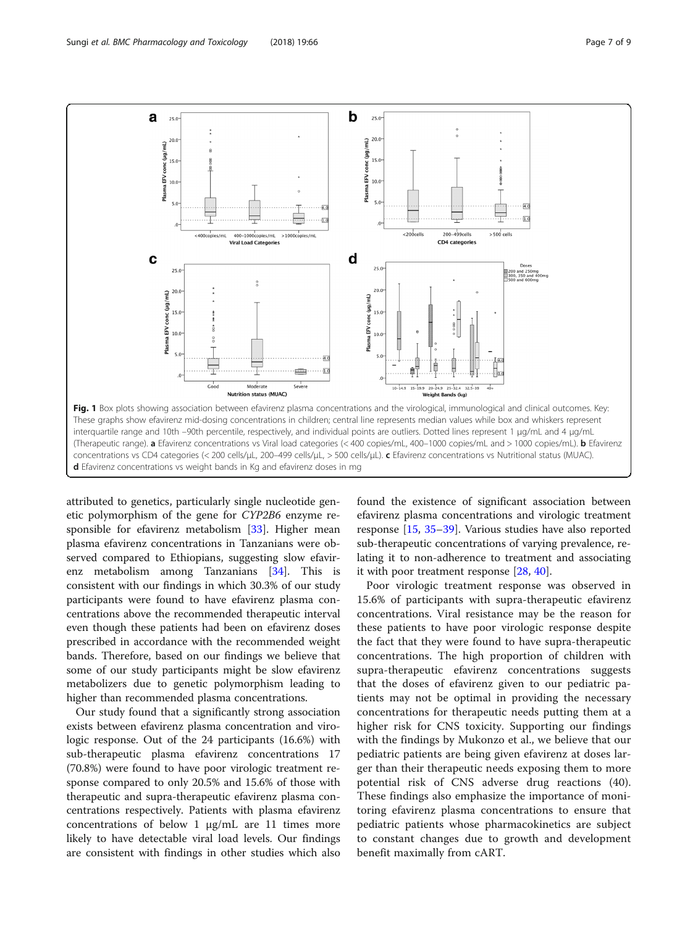<span id="page-6-0"></span>

attributed to genetics, particularly single nucleotide genetic polymorphism of the gene for CYP2B6 enzyme responsible for efavirenz metabolism [\[33](#page-8-0)]. Higher mean plasma efavirenz concentrations in Tanzanians were observed compared to Ethiopians, suggesting slow efavirenz metabolism among Tanzanians [\[34](#page-8-0)]. This is consistent with our findings in which 30.3% of our study participants were found to have efavirenz plasma concentrations above the recommended therapeutic interval even though these patients had been on efavirenz doses prescribed in accordance with the recommended weight bands. Therefore, based on our findings we believe that some of our study participants might be slow efavirenz metabolizers due to genetic polymorphism leading to higher than recommended plasma concentrations.

Our study found that a significantly strong association exists between efavirenz plasma concentration and virologic response. Out of the 24 participants (16.6%) with sub-therapeutic plasma efavirenz concentrations 17 (70.8%) were found to have poor virologic treatment response compared to only 20.5% and 15.6% of those with therapeutic and supra-therapeutic efavirenz plasma concentrations respectively. Patients with plasma efavirenz concentrations of below 1 μg/mL are 11 times more likely to have detectable viral load levels. Our findings are consistent with findings in other studies which also

found the existence of significant association between efavirenz plasma concentrations and virologic treatment response [\[15,](#page-8-0) [35](#page-8-0)–[39\]](#page-8-0). Various studies have also reported sub-therapeutic concentrations of varying prevalence, relating it to non-adherence to treatment and associating it with poor treatment response [\[28,](#page-8-0) [40\]](#page-8-0).

Poor virologic treatment response was observed in 15.6% of participants with supra-therapeutic efavirenz concentrations. Viral resistance may be the reason for these patients to have poor virologic response despite the fact that they were found to have supra-therapeutic concentrations. The high proportion of children with supra-therapeutic efavirenz concentrations suggests that the doses of efavirenz given to our pediatric patients may not be optimal in providing the necessary concentrations for therapeutic needs putting them at a higher risk for CNS toxicity. Supporting our findings with the findings by Mukonzo et al., we believe that our pediatric patients are being given efavirenz at doses larger than their therapeutic needs exposing them to more potential risk of CNS adverse drug reactions (40). These findings also emphasize the importance of monitoring efavirenz plasma concentrations to ensure that pediatric patients whose pharmacokinetics are subject to constant changes due to growth and development benefit maximally from cART.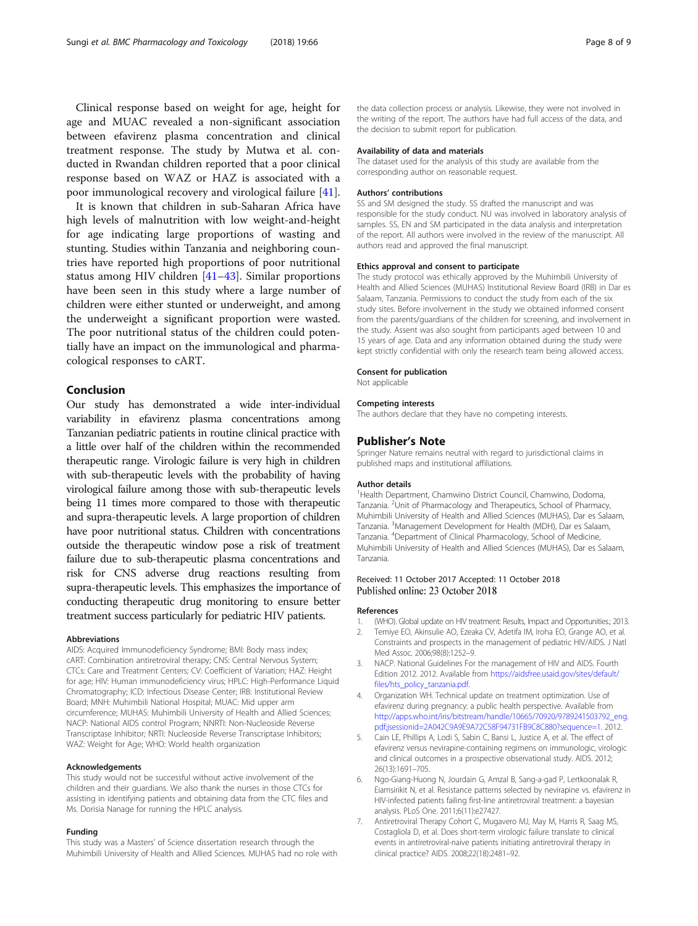<span id="page-7-0"></span>Clinical response based on weight for age, height for age and MUAC revealed a non-significant association between efavirenz plasma concentration and clinical treatment response. The study by Mutwa et al. conducted in Rwandan children reported that a poor clinical response based on WAZ or HAZ is associated with a poor immunological recovery and virological failure [\[41](#page-8-0)].

It is known that children in sub-Saharan Africa have high levels of malnutrition with low weight-and-height for age indicating large proportions of wasting and stunting. Studies within Tanzania and neighboring countries have reported high proportions of poor nutritional status among HIV children [[41](#page-8-0)–[43](#page-8-0)]. Similar proportions have been seen in this study where a large number of children were either stunted or underweight, and among the underweight a significant proportion were wasted. The poor nutritional status of the children could potentially have an impact on the immunological and pharmacological responses to cART.

## Conclusion

Our study has demonstrated a wide inter-individual variability in efavirenz plasma concentrations among Tanzanian pediatric patients in routine clinical practice with a little over half of the children within the recommended therapeutic range. Virologic failure is very high in children with sub-therapeutic levels with the probability of having virological failure among those with sub-therapeutic levels being 11 times more compared to those with therapeutic and supra-therapeutic levels. A large proportion of children have poor nutritional status. Children with concentrations outside the therapeutic window pose a risk of treatment failure due to sub-therapeutic plasma concentrations and risk for CNS adverse drug reactions resulting from supra-therapeutic levels. This emphasizes the importance of conducting therapeutic drug monitoring to ensure better treatment success particularly for pediatric HIV patients.

#### Abbreviations

AIDS: Acquired Immunodeficiency Syndrome; BMI: Body mass index; cART: Combination antiretroviral therapy; CNS: Central Nervous System; CTCs: Care and Treatment Centers; CV: Coefficient of Variation; HAZ: Height for age; HIV: Human immunodeficiency virus; HPLC: High-Performance Liquid Chromatography; ICD: Infectious Disease Center; IRB: Institutional Review Board; MNH: Muhimbili National Hospital; MUAC: Mid upper arm circumference; MUHAS: Muhimbili University of Health and Allied Sciences; NACP: National AIDS control Program; NNRTI: Non-Nucleoside Reverse Transcriptase Inhibitor; NRTI: Nucleoside Reverse Transcriptase Inhibitors; WAZ: Weight for Age; WHO: World health organization

#### Acknowledgements

This study would not be successful without active involvement of the children and their guardians. We also thank the nurses in those CTCs for assisting in identifying patients and obtaining data from the CTC files and Ms. Dorisia Nanage for running the HPLC analysis.

#### Funding

This study was a Masters' of Science dissertation research through the Muhimbili University of Health and Allied Sciences. MUHAS had no role with the data collection process or analysis. Likewise, they were not involved in the writing of the report. The authors have had full access of the data, and the decision to submit report for publication.

#### Availability of data and materials

The dataset used for the analysis of this study are available from the corresponding author on reasonable request.

#### Authors' contributions

SS and SM designed the study. SS drafted the manuscript and was responsible for the study conduct. NU was involved in laboratory analysis of samples. SS, EN and SM participated in the data analysis and interpretation of the report. All authors were involved in the review of the manuscript. All authors read and approved the final manuscript.

## Ethics approval and consent to participate

The study protocol was ethically approved by the Muhimbili University of Health and Allied Sciences (MUHAS) Institutional Review Board (IRB) in Dar es Salaam, Tanzania. Permissions to conduct the study from each of the six study sites. Before involvement in the study we obtained informed consent from the parents/guardians of the children for screening, and involvement in the study. Assent was also sought from participants aged between 10 and 15 years of age. Data and any information obtained during the study were kept strictly confidential with only the research team being allowed access.

#### Consent for publication

Not applicable

#### Competing interests

The authors declare that they have no competing interests.

#### Publisher's Note

Springer Nature remains neutral with regard to jurisdictional claims in published maps and institutional affiliations.

#### Author details

<sup>1</sup> Health Department, Chamwino District Council, Chamwino, Dodoma Tanzania. <sup>2</sup>Unit of Pharmacology and Therapeutics, School of Pharmacy, Muhimbili University of Health and Allied Sciences (MUHAS), Dar es Salaam, Tanzania. <sup>3</sup>Management Development for Health (MDH), Dar es Salaam, Tanzania. <sup>4</sup> Department of Clinical Pharmacology, School of Medicine, Muhimbili University of Health and Allied Sciences (MUHAS), Dar es Salaam, Tanzania.

## Received: 11 October 2017 Accepted: 11 October 2018 Published online: 23 October 2018

#### References

- 1. (WHO). Global update on HIV treatment: Results, Impact and Opportunities.; 2013.
- 2. Temiye EO, Akinsulie AO, Ezeaka CV, Adetifa IM, Iroha EO, Grange AO, et al. Constraints and prospects in the management of pediatric HIV/AIDS. J Natl Med Assoc. 2006;98(8):1252–9.
- 3. NACP. National Guidelines For the management of HIV and AIDS. Fourth Edition 2012. 2012. Available from [https://aidsfree.usaid.gov/sites/default/](https://aidsfree.usaid.gov/sites/default/files/hts_policy_tanzania.pdf) files/hts\_policy\_tanzania.pdf
- 4. Organization WH. Technical update on treatment optimization. Use of efavirenz during pregnancy: a public health perspective. Available from [http://apps.who.int/iris/bitstream/handle/10665/70920/9789241503792\\_eng.](http://apps.who.int/iris/bitstream/handle/10665/70920/9789241503792_eng.pdf;jsessionid=2A042C9A9E9A72C58F94731FB9C8C880?sequence=1) [pdf;jsessionid=2A042C9A9E9A72C58F94731FB9C8C880?sequence=1.](http://apps.who.int/iris/bitstream/handle/10665/70920/9789241503792_eng.pdf;jsessionid=2A042C9A9E9A72C58F94731FB9C8C880?sequence=1) 2012.
- 5. Cain LE, Phillips A, Lodi S, Sabin C, Bansi L, Justice A, et al. The effect of efavirenz versus nevirapine-containing regimens on immunologic, virologic and clinical outcomes in a prospective observational study. AIDS. 2012; 26(13):1691–705.
- 6. Ngo-Giang-Huong N, Jourdain G, Amzal B, Sang-a-gad P, Lertkoonalak R, Eiamsirikit N, et al. Resistance patterns selected by nevirapine vs. efavirenz in HIV-infected patients failing first-line antiretroviral treatment: a bayesian analysis. PLoS One. 2011;6(11):e27427.
- 7. Antiretroviral Therapy Cohort C, Mugavero MJ, May M, Harris R, Saag MS, Costagliola D, et al. Does short-term virologic failure translate to clinical events in antiretroviral-naive patients initiating antiretroviral therapy in clinical practice? AIDS. 2008;22(18):2481–92.